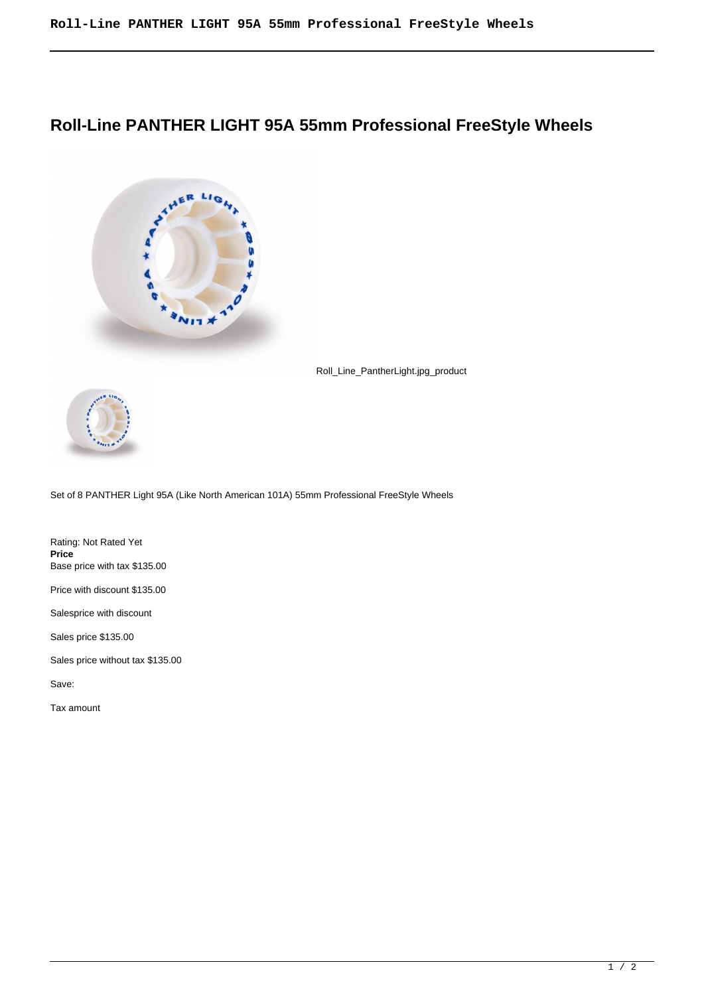## **Roll-Line PANTHER LIGHT 95A 55mm Professional FreeStyle Wheels**



Roll\_Line\_PantherLight.jpg\_product



Set of 8 PANTHER Light 95A (Like North American 101A) 55mm Professional FreeStyle Wheels

Rating: Not Rated Yet **Price**  Base price with tax \$135.00 Price with discount \$135.00

Salesprice with discount

Sales price \$135.00

Sales price without tax \$135.00

Save:

Tax amount